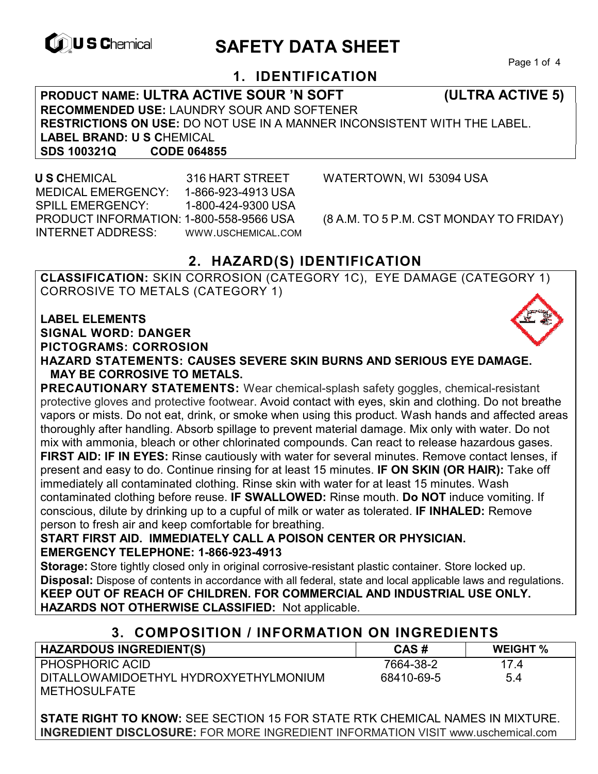

# **EXAGREM** SAFETY DATA SHEET

Page 1 of 4

# **1. IDENTIFICATION**

**PRODUCT NAME: ULTRA ACTIVE SOUR 'N SOFT (ULTRA ACTIVE 5) RECOMMENDED USE:** LAUNDRY SOUR AND SOFTENER **RESTRICTIONS ON USE:** DO NOT USE IN A MANNER INCONSISTENT WITH THE LABEL. **LABEL BRAND: U S C**HEMICAL **SDS 100321Q CODE 064855** 

 **U S C**HEMICAL 316 HART STREET WATERTOWN, WI 53094 USA MEDICAL EMERGENCY: 1-866-923-4913 USA SPILL EMERGENCY: 1-800-424-9300 USA PRODUCT INFORMATION: 1-800-558-9566 USA (8 A.M. TO 5 P.M. CST MONDAY TO FRIDAY) INTERNET ADDRESS: WWW.USCHEMICAL.COM

# **2. HAZARD(S) IDENTIFICATION**

**CLASSIFICATION:** SKIN CORROSION (CATEGORY 1C), EYE DAMAGE (CATEGORY 1) CORROSIVE TO METALS (CATEGORY 1)

**LABEL ELEMENTS SIGNAL WORD: DANGER PICTOGRAMS: CORROSION**

**HAZARD STATEMENTS: CAUSES SEVERE SKIN BURNS AND SERIOUS EYE DAMAGE. MAY BE CORROSIVE TO METALS.** 

**PRECAUTIONARY STATEMENTS:** Wear chemical-splash safety goggles, chemical-resistant protective gloves and protective footwear. Avoid contact with eyes, skin and clothing. Do not breathe vapors or mists. Do not eat, drink, or smoke when using this product. Wash hands and affected areas thoroughly after handling. Absorb spillage to prevent material damage. Mix only with water. Do not mix with ammonia, bleach or other chlorinated compounds. Can react to release hazardous gases. **FIRST AID: IF IN EYES:** Rinse cautiously with water for several minutes. Remove contact lenses, if present and easy to do. Continue rinsing for at least 15 minutes. **IF ON SKIN (OR HAIR):** Take off immediately all contaminated clothing. Rinse skin with water for at least 15 minutes. Wash contaminated clothing before reuse. **IF SWALLOWED:** Rinse mouth. **Do NOT** induce vomiting. If conscious, dilute by drinking up to a cupful of milk or water as tolerated. **IF INHALED:** Remove person to fresh air and keep comfortable for breathing.

#### **START FIRST AID. IMMEDIATELY CALL A POISON CENTER OR PHYSICIAN. EMERGENCY TELEPHONE: 1-866-923-4913**

**Storage:** Store tightly closed only in original corrosive-resistant plastic container. Store locked up. **Disposal:** Dispose of contents in accordance with all federal, state and local applicable laws and regulations. **KEEP OUT OF REACH OF CHILDREN. FOR COMMERCIAL AND INDUSTRIAL USE ONLY. HAZARDS NOT OTHERWISE CLASSIFIED:** Not applicable.

### **3. COMPOSITION / INFORMATION ON INGREDIENTS**

| <b>HAZARDOUS INGREDIENT(S)</b>        | CAS#       | <b>WEIGHT %</b> |
|---------------------------------------|------------|-----------------|
| <b>PHOSPHORIC ACID</b>                | 7664-38-2  | 174             |
| DITALLOWAMIDOETHYL HYDROXYETHYLMONIUM | 68410-69-5 | 5.4             |
| <b>METHOSULFATE</b>                   |            |                 |

**STATE RIGHT TO KNOW:** SEE SECTION 15 FOR STATE RTK CHEMICAL NAMES IN MIXTURE. **INGREDIENT DISCLOSURE:** FOR MORE INGREDIENT INFORMATION VISIT www.uschemical.com

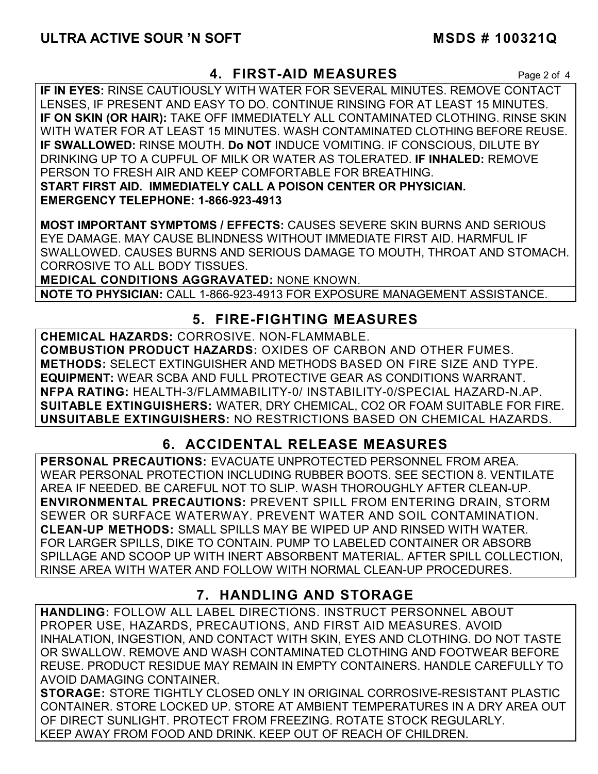### **4. FIRST-AID MEASURES** Page 2 of 4

**IF IN EYES:** RINSE CAUTIOUSLY WITH WATER FOR SEVERAL MINUTES. REMOVE CONTACT LENSES, IF PRESENT AND EASY TO DO. CONTINUE RINSING FOR AT LEAST 15 MINUTES. **IF ON SKIN (OR HAIR):** TAKE OFF IMMEDIATELY ALL CONTAMINATED CLOTHING. RINSE SKIN WITH WATER FOR AT LEAST 15 MINUTES. WASH CONTAMINATED CLOTHING BEFORE REUSE. **IF SWALLOWED:** RINSE MOUTH. **Do NOT** INDUCE VOMITING. IF CONSCIOUS, DILUTE BY DRINKING UP TO A CUPFUL OF MILK OR WATER AS TOLERATED. **IF INHALED:** REMOVE PERSON TO FRESH AIR AND KEEP COMFORTABLE FOR BREATHING. **START FIRST AID. IMMEDIATELY CALL A POISON CENTER OR PHYSICIAN. EMERGENCY TELEPHONE: 1-866-923-4913**

**MOST IMPORTANT SYMPTOMS / EFFECTS:** CAUSES SEVERE SKIN BURNS AND SERIOUS EYE DAMAGE. MAY CAUSE BLINDNESS WITHOUT IMMEDIATE FIRST AID. HARMFUL IF SWALLOWED. CAUSES BURNS AND SERIOUS DAMAGE TO MOUTH, THROAT AND STOMACH. CORROSIVE TO ALL BODY TISSUES.

**MEDICAL CONDITIONS AGGRAVATED:** NONE KNOWN.

**NOTE TO PHYSICIAN:** CALL 1-866-923-4913 FOR EXPOSURE MANAGEMENT ASSISTANCE.

## **5. FIRE-FIGHTING MEASURES**

**CHEMICAL HAZARDS:** CORROSIVE. NON-FLAMMABLE. **COMBUSTION PRODUCT HAZARDS:** OXIDES OF CARBON AND OTHER FUMES. **METHODS:** SELECT EXTINGUISHER AND METHODS BASED ON FIRE SIZE AND TYPE. **EQUIPMENT:** WEAR SCBA AND FULL PROTECTIVE GEAR AS CONDITIONS WARRANT. **NFPA RATING:** HEALTH-3/FLAMMABILITY-0/ INSTABILITY-0/SPECIAL HAZARD-N.AP. **SUITABLE EXTINGUISHERS:** WATER, DRY CHEMICAL, CO2 OR FOAM SUITABLE FOR FIRE. **UNSUITABLE EXTINGUISHERS:** NO RESTRICTIONS BASED ON CHEMICAL HAZARDS.

# **6. ACCIDENTAL RELEASE MEASURES**

**PERSONAL PRECAUTIONS:** EVACUATE UNPROTECTED PERSONNEL FROM AREA. WEAR PERSONAL PROTECTION INCLUDING RUBBER BOOTS. SEE SECTION 8. VENTILATE AREA IF NEEDED. BE CAREFUL NOT TO SLIP. WASH THOROUGHLY AFTER CLEAN-UP. **ENVIRONMENTAL PRECAUTIONS:** PREVENT SPILL FROM ENTERING DRAIN, STORM SEWER OR SURFACE WATERWAY. PREVENT WATER AND SOIL CONTAMINATION. **CLEAN-UP METHODS:** SMALL SPILLS MAY BE WIPED UP AND RINSED WITH WATER. FOR LARGER SPILLS, DIKE TO CONTAIN. PUMP TO LABELED CONTAINER OR ABSORB SPILLAGE AND SCOOP UP WITH INERT ABSORBENT MATERIAL. AFTER SPILL COLLECTION, RINSE AREA WITH WATER AND FOLLOW WITH NORMAL CLEAN-UP PROCEDURES.

# **7. HANDLING AND STORAGE**

**HANDLING:** FOLLOW ALL LABEL DIRECTIONS. INSTRUCT PERSONNEL ABOUT PROPER USE, HAZARDS, PRECAUTIONS, AND FIRST AID MEASURES. AVOID INHALATION, INGESTION, AND CONTACT WITH SKIN, EYES AND CLOTHING. DO NOT TASTE OR SWALLOW. REMOVE AND WASH CONTAMINATED CLOTHING AND FOOTWEAR BEFORE REUSE. PRODUCT RESIDUE MAY REMAIN IN EMPTY CONTAINERS. HANDLE CAREFULLY TO AVOID DAMAGING CONTAINER.

**STORAGE:** STORE TIGHTLY CLOSED ONLY IN ORIGINAL CORROSIVE-RESISTANT PLASTIC CONTAINER. STORE LOCKED UP. STORE AT AMBIENT TEMPERATURES IN A DRY AREA OUT OF DIRECT SUNLIGHT. PROTECT FROM FREEZING. ROTATE STOCK REGULARLY. KEEP AWAY FROM FOOD AND DRINK. KEEP OUT OF REACH OF CHILDREN.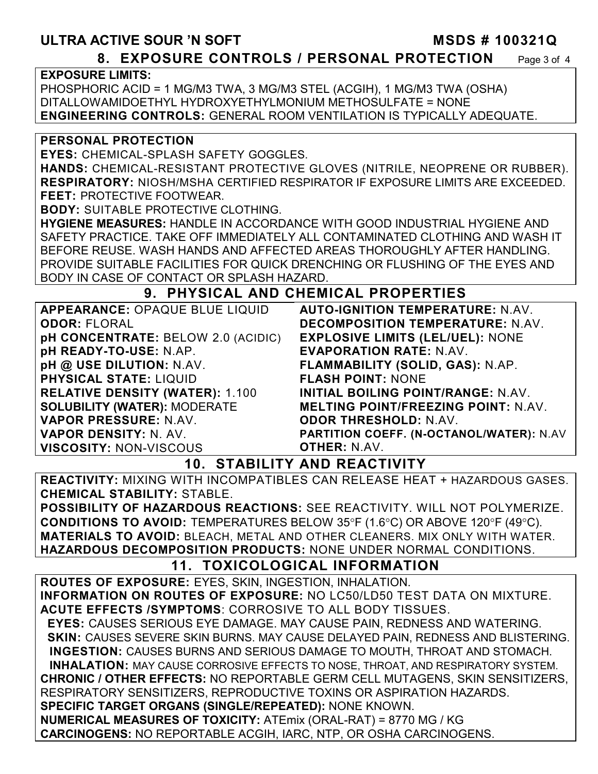### ULTRA ACTIVE SOUR 'N SOFT MSDS # 100321Q **8. EXPOSURE CONTROLS / PERSONAL PROTECTION** Page 3 of 4

**EXPOSURE LIMITS:**

PHOSPHORIC ACID = 1 MG/M3 TWA, 3 MG/M3 STEL (ACGIH), 1 MG/M3 TWA (OSHA) DITALLOWAMIDOETHYL HYDROXYETHYLMONIUM METHOSULFATE = NONE **ENGINEERING CONTROLS:** GENERAL ROOM VENTILATION IS TYPICALLY ADEQUATE.

#### **PERSONAL PROTECTION**

**EYES:** CHEMICAL-SPLASH SAFETY GOGGLES.

**HANDS:** CHEMICAL-RESISTANT PROTECTIVE GLOVES (NITRILE, NEOPRENE OR RUBBER). **RESPIRATORY:** NIOSH/MSHA CERTIFIED RESPIRATOR IF EXPOSURE LIMITS ARE EXCEEDED. **FEET:** PROTECTIVE FOOTWEAR.

**BODY:** SUITABLE PROTECTIVE CLOTHING.

**HYGIENE MEASURES:** HANDLE IN ACCORDANCE WITH GOOD INDUSTRIAL HYGIENE AND SAFETY PRACTICE. TAKE OFF IMMEDIATELY ALL CONTAMINATED CLOTHING AND WASH IT BEFORE REUSE. WASH HANDS AND AFFECTED AREAS THOROUGHLY AFTER HANDLING. PROVIDE SUITABLE FACILITIES FOR QUICK DRENCHING OR FLUSHING OF THE EYES AND BODY IN CASE OF CONTACT OR SPLASH HAZARD.

### **9. PHYSICAL AND CHEMICAL PROPERTIES**

| APPEARANCE: OPAQUE BLUE LIQUID         | <b>AUTO-IGNITION TEMPERATURE: N.AV.</b>         |
|----------------------------------------|-------------------------------------------------|
| <b>ODOR: FLORAL</b>                    | <b>DECOMPOSITION TEMPERATURE: N.AV.</b>         |
| pH CONCENTRATE: BELOW 2.0 (ACIDIC)     | <b>EXPLOSIVE LIMITS (LEL/UEL): NONE</b>         |
| pH READY-TO-USE: N.AP.                 | <b>EVAPORATION RATE: N.AV.</b>                  |
| pH @ USE DILUTION: N.AV.               | FLAMMABILITY (SOLID, GAS): N.AP.                |
| <b>PHYSICAL STATE: LIQUID</b>          | <b>FLASH POINT: NONE</b>                        |
| <b>RELATIVE DENSITY (WATER): 1.100</b> | INITIAL BOILING POINT/RANGE: N.AV.              |
| <b>SOLUBILITY (WATER): MODERATE</b>    | <b>MELTING POINT/FREEZING POINT: N.AV.</b>      |
| VAPOR PRESSURE: N.AV.                  | <b>ODOR THRESHOLD: N.AV.</b>                    |
| VAPOR DENSITY: N. AV.                  | <b>PARTITION COEFF. (N-OCTANOL/WATER): N.AV</b> |
| <b>VISCOSITY: NON-VISCOUS</b>          | <b>OTHER: N.AV.</b>                             |

# **10. STABILITY AND REACTIVITY**

**REACTIVITY:** MIXING WITH INCOMPATIBLES CAN RELEASE HEAT + HAZARDOUS GASES. **CHEMICAL STABILITY:** STABLE.

**POSSIBILITY OF HAZARDOUS REACTIONS:** SEE REACTIVITY. WILL NOT POLYMERIZE. **CONDITIONS TO AVOID:** TEMPERATURES BELOW 35°F (1.6°C) OR ABOVE 120°F (49°C). **MATERIALS TO AVOID:** BLEACH, METAL AND OTHER CLEANERS. MIX ONLY WITH WATER. **HAZARDOUS DECOMPOSITION PRODUCTS:** NONE UNDER NORMAL CONDITIONS.

# **11. TOXICOLOGICAL INFORMATION**

**ROUTES OF EXPOSURE:** EYES, SKIN, INGESTION, INHALATION. **INFORMATION ON ROUTES OF EXPOSURE:** NO LC50/LD50 TEST DATA ON MIXTURE. **ACUTE EFFECTS /SYMPTOMS**: CORROSIVE TO ALL BODY TISSUES.  **EYES:** CAUSES SERIOUS EYE DAMAGE. MAY CAUSE PAIN, REDNESS AND WATERING.  **SKIN:** CAUSES SEVERE SKIN BURNS. MAY CAUSE DELAYED PAIN, REDNESS AND BLISTERING. **INGESTION:** CAUSES BURNS AND SERIOUS DAMAGE TO MOUTH, THROAT AND STOMACH. **INHALATION:** MAY CAUSE CORROSIVE EFFECTS TO NOSE, THROAT, AND RESPIRATORY SYSTEM. **CHRONIC / OTHER EFFECTS:** NO REPORTABLE GERM CELL MUTAGENS, SKIN SENSITIZERS, RESPIRATORY SENSITIZERS, REPRODUCTIVE TOXINS OR ASPIRATION HAZARDS. **SPECIFIC TARGET ORGANS (SINGLE/REPEATED):** NONE KNOWN. **NUMERICAL MEASURES OF TOXICITY:** ATEmix (ORAL-RAT) = 8770 MG / KG **CARCINOGENS:** NO REPORTABLE ACGIH, IARC, NTP, OR OSHA CARCINOGENS.